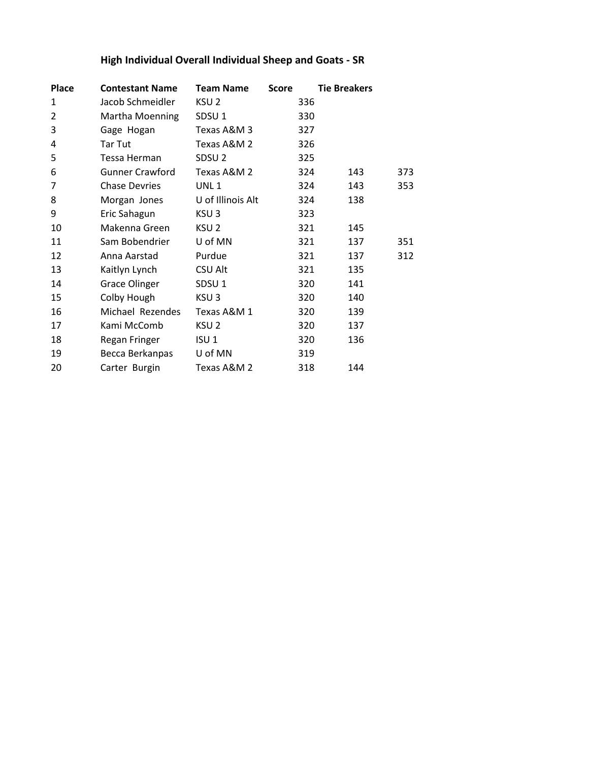# **High Individual Overall Individual Sheep and Goats - SR**

| <b>Place</b>   | <b>Contestant Name</b> | <b>Team Name</b>  | <b>Score</b> | <b>Tie Breakers</b> |     |     |
|----------------|------------------------|-------------------|--------------|---------------------|-----|-----|
| 1              | Jacob Schmeidler       | KSU <sub>2</sub>  |              | 336                 |     |     |
| $\overline{2}$ | Martha Moenning        | SDSU <sub>1</sub> |              | 330                 |     |     |
| 3              | Gage Hogan             | Texas A&M 3       |              | 327                 |     |     |
| 4              | Tar Tut                | Texas A&M 2       |              | 326                 |     |     |
| 5              | Tessa Herman           | SDSU <sub>2</sub> |              | 325                 |     |     |
| 6              | <b>Gunner Crawford</b> | Texas A&M 2       |              | 324                 | 143 | 373 |
| 7              | <b>Chase Devries</b>   | UNL <sub>1</sub>  |              | 324                 | 143 | 353 |
| 8              | Morgan Jones           | U of Illinois Alt |              | 324                 | 138 |     |
| 9              | Eric Sahagun           | KSU <sub>3</sub>  |              | 323                 |     |     |
| 10             | Makenna Green          | KSU <sub>2</sub>  |              | 321                 | 145 |     |
| 11             | Sam Bobendrier         | U of MN           |              | 321                 | 137 | 351 |
| 12             | Anna Aarstad           | Purdue            |              | 321                 | 137 | 312 |
| 13             | Kaitlyn Lynch          | <b>CSU Alt</b>    |              | 321                 | 135 |     |
| 14             | <b>Grace Olinger</b>   | SDSU <sub>1</sub> |              | 320                 | 141 |     |
| 15             | Colby Hough            | KSU <sub>3</sub>  |              | 320                 | 140 |     |
| 16             | Michael Rezendes       | Texas A&M 1       |              | 320                 | 139 |     |
| 17             | Kami McComb            | KSU <sub>2</sub>  |              | 320                 | 137 |     |
| 18             | Regan Fringer          | ISU <sub>1</sub>  |              | 320                 | 136 |     |
| 19             | Becca Berkanpas        | U of MN           |              | 319                 |     |     |
| 20             | Carter Burgin          | Texas A&M 2       |              | 318                 | 144 |     |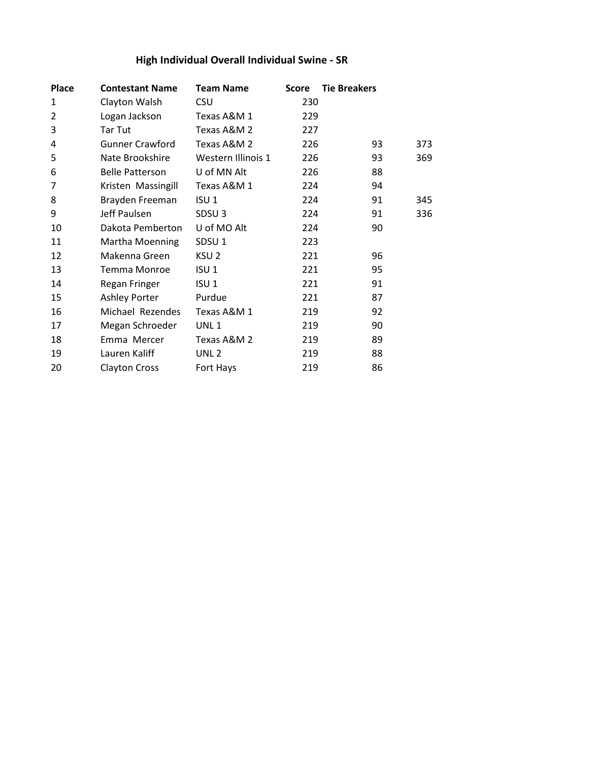## **High Individual Overall Individual Swine - SR**

| <b>Place</b>   | <b>Contestant Name</b> | <b>Team Name</b>   | <b>Score</b> | <b>Tie Breakers</b> |
|----------------|------------------------|--------------------|--------------|---------------------|
| $\mathbf{1}$   | Clayton Walsh          | <b>CSU</b>         | 230          |                     |
| $\overline{2}$ | Logan Jackson          | Texas A&M 1        | 229          |                     |
| 3              | Tar Tut                | Texas A&M 2        | 227          |                     |
| 4              | <b>Gunner Crawford</b> | Texas A&M 2        | 226          | 93<br>373           |
| 5              | Nate Brookshire        | Western Illinois 1 | 226          | 93<br>369           |
| 6              | <b>Belle Patterson</b> | U of MN Alt        | 226          | 88                  |
| 7              | Kristen Massingill     | Texas A&M 1        | 224          | 94                  |
| 8              | Brayden Freeman        | ISU <sub>1</sub>   | 224          | 91<br>345           |
| 9              | Jeff Paulsen           | SDSU <sub>3</sub>  | 224          | 91<br>336           |
| 10             | Dakota Pemberton       | U of MO Alt        | 224          | 90                  |
| 11             | Martha Moenning        | SDSU <sub>1</sub>  | 223          |                     |
| 12             | Makenna Green          | KSU <sub>2</sub>   | 221          | 96                  |
| 13             | Temma Monroe           | ISU <sub>1</sub>   | 221          | 95                  |
| 14             | Regan Fringer          | ISU <sub>1</sub>   | 221          | 91                  |
| 15             | Ashley Porter          | Purdue             | 221          | 87                  |
| 16             | Michael Rezendes       | Texas A&M 1        | 219          | 92                  |
| 17             | Megan Schroeder        | UNL <sub>1</sub>   | 219          | 90                  |
| 18             | Emma Mercer            | Texas A&M 2        | 219          | 89                  |
| 19             | Lauren Kaliff          | UNL <sub>2</sub>   | 219          | 88                  |
| 20             | <b>Clayton Cross</b>   | Fort Hays          | 219          | 86                  |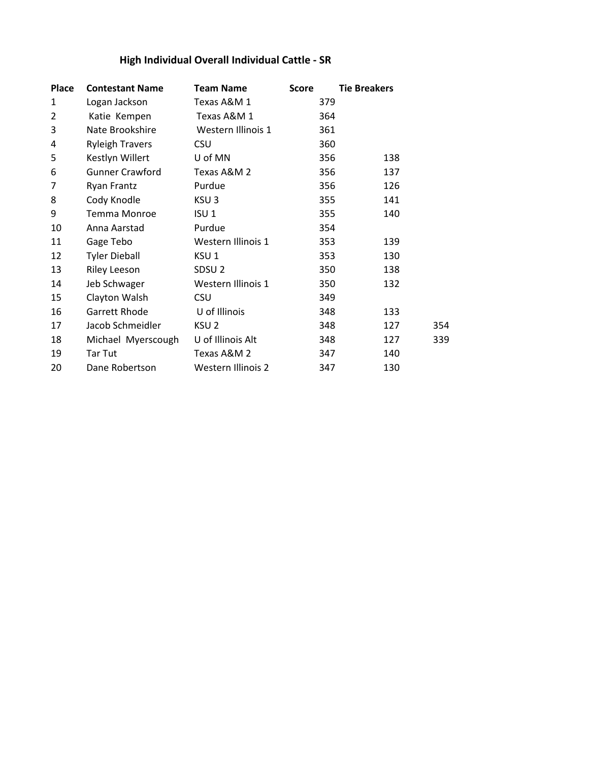## **High Individual Overall Individual Cattle - SR**

| <b>Place</b>   | <b>Contestant Name</b> | <b>Team Name</b>   | <b>Score</b> | <b>Tie Breakers</b> |
|----------------|------------------------|--------------------|--------------|---------------------|
| 1              | Logan Jackson          | Texas A&M 1        | 379          |                     |
| $\overline{2}$ | Katie Kempen           | Texas A&M 1        | 364          |                     |
| 3              | Nate Brookshire        | Western Illinois 1 | 361          |                     |
| 4              | <b>Ryleigh Travers</b> | <b>CSU</b>         | 360          |                     |
| 5              | Kestlyn Willert        | U of MN            | 356          | 138                 |
| 6              | <b>Gunner Crawford</b> | Texas A&M 2        | 356          | 137                 |
| 7              | Ryan Frantz            | Purdue             | 356          | 126                 |
| 8              | Cody Knodle            | KSU <sub>3</sub>   | 355          | 141                 |
| 9              | <b>Temma Monroe</b>    | ISU <sub>1</sub>   | 355          | 140                 |
| 10             | Anna Aarstad           | Purdue             | 354          |                     |
| 11             | Gage Tebo              | Western Illinois 1 | 353          | 139                 |
| 12             | <b>Tyler Dieball</b>   | KSU 1              | 353          | 130                 |
| 13             | <b>Riley Leeson</b>    | SDSU <sub>2</sub>  | 350          | 138                 |
| 14             | Jeb Schwager           | Western Illinois 1 | 350          | 132                 |
| 15             | Clayton Walsh          | <b>CSU</b>         | 349          |                     |
| 16             | Garrett Rhode          | U of Illinois      | 348          | 133                 |
| 17             | Jacob Schmeidler       | KSU <sub>2</sub>   | 348          | 127<br>354          |
| 18             | Michael Myerscough     | U of Illinois Alt  | 348          | 127<br>339          |
| 19             | Tar Tut                | Texas A&M 2        | 347          | 140                 |
| 20             | Dane Robertson         | Western Illinois 2 | 347          | 130                 |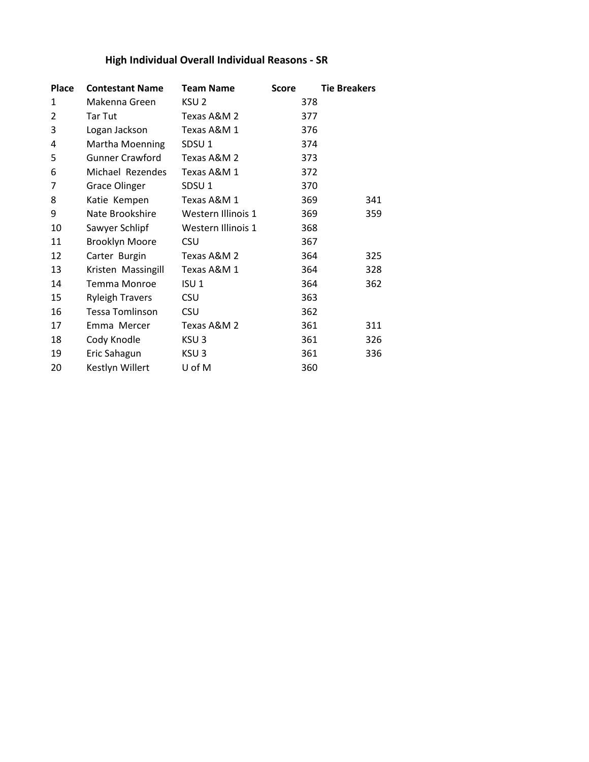## **High Individual Overall Individual Reasons - SR**

| <b>Place</b>   | <b>Contestant Name</b> | <b>Team Name</b>   | <b>Score</b> | <b>Tie Breakers</b> |
|----------------|------------------------|--------------------|--------------|---------------------|
| 1              | Makenna Green          | KSU <sub>2</sub>   | 378          |                     |
| $\overline{2}$ | Tar Tut                | Texas A&M 2        | 377          |                     |
| 3              | Logan Jackson          | Texas A&M 1        | 376          |                     |
| 4              | Martha Moenning        | SDSU <sub>1</sub>  | 374          |                     |
| 5              | <b>Gunner Crawford</b> | Texas A&M 2        | 373          |                     |
| 6              | Michael Rezendes       | Texas A&M 1        | 372          |                     |
| 7              | <b>Grace Olinger</b>   | SDSU <sub>1</sub>  | 370          |                     |
| 8              | Katie Kempen           | Texas A&M 1        | 369          | 341                 |
| 9              | Nate Brookshire        | Western Illinois 1 | 369          | 359                 |
| 10             | Sawyer Schlipf         | Western Illinois 1 | 368          |                     |
| 11             | <b>Brooklyn Moore</b>  | CSU                | 367          |                     |
| 12             | Carter Burgin          | Texas A&M 2        | 364          | 325                 |
| 13             | Kristen Massingill     | Texas A&M 1        | 364          | 328                 |
| 14             | <b>Temma Monroe</b>    | ISU 1              | 364          | 362                 |
| 15             | <b>Ryleigh Travers</b> | <b>CSU</b>         | 363          |                     |
| 16             | <b>Tessa Tomlinson</b> | <b>CSU</b>         | 362          |                     |
| 17             | Emma Mercer            | Texas A&M 2        | 361          | 311                 |
| 18             | Cody Knodle            | KSU 3              | 361          | 326                 |
| 19             | Eric Sahagun           | KSU <sub>3</sub>   | 361          | 336                 |
| 20             | Kestlyn Willert        | U of M             | 360          |                     |